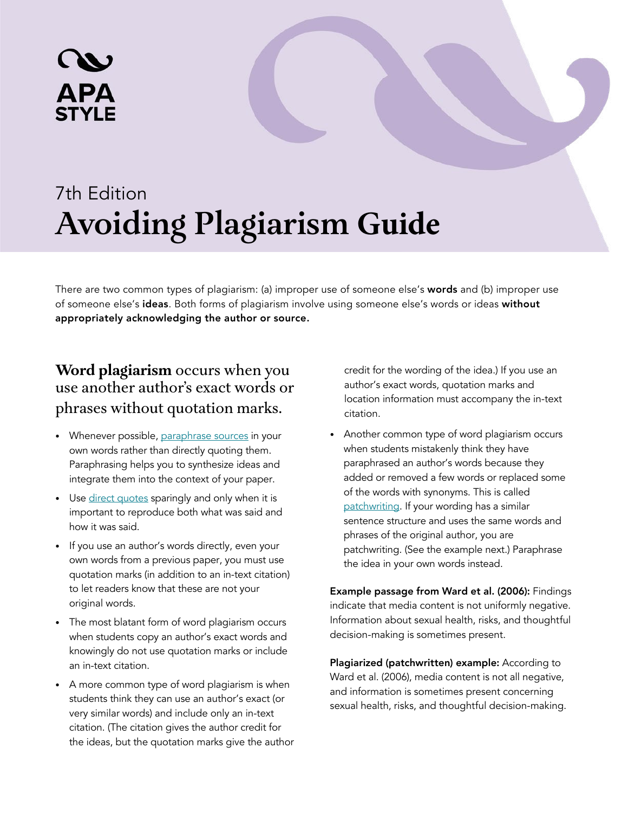# 7th Edition **Avoiding Plagiarism Guide**

There are two common types of plagiarism: (a) improper use of someone else's words and (b) improper use of someone else's ideas. Both forms of plagiarism involve using someone else's words or ideas without appropriately acknowledging the author or source.

## **Word plagiarism** occurs when you use another author's exact words or phrases without quotation marks.

**APA** 

- Whenever possible, [paraphrase sources](https://apastyle.apa.org/style-grammar-guidelines/citations/paraphrasing) in your own words rather than directly quoting them. Paraphrasing helps you to synthesize ideas and integrate them into the context of your paper.
- Use [direct quotes](https://apastyle.apa.org/style-grammar-guidelines/citations/quotations) sparingly and only when it is important to reproduce both what was said and how it was said.
- If you use an author's words directly, even your own words from a previous paper, you must use quotation marks (in addition to an in-text citation) to let readers know that these are not your original words.
- The most blatant form of word plagiarism occurs when students copy an author's exact words and knowingly do not use quotation marks or include an in-text citation.
- A more common type of word plagiarism is when students think they can use an author's exact (or very similar words) and include only an in-text citation. (The citation gives the author credit for the ideas, but the quotation marks give the author

credit for the wording of the idea.) If you use an author's exact words, quotation marks and location information must accompany the in-text citation.

• Another common type of word plagiarism occurs when students mistakenly think they have paraphrased an author's words because they added or removed a few words or replaced some of the words with synonyms. This is called [patchwriting.](https://www.merriam-webster.com/words-at-play/words-were-watching-patchwriting) If your wording has a similar sentence structure and uses the same words and phrases of the original author, you are patchwriting. (See the example next.) Paraphrase the idea in your own words instead.

Example passage from Ward et al. (2006): Findings indicate that media content is not uniformly negative. Information about sexual health, risks, and thoughtful decision-making is sometimes present.

Plagiarized (patchwritten) example: According to Ward et al. (2006), media content is not all negative, and information is sometimes present concerning sexual health, risks, and thoughtful decision-making.